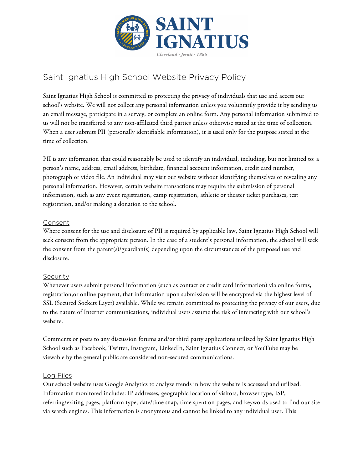

# Saint Ignatius High School Website Privacy Policy

Saint Ignatius High School is committed to protecting the privacy of individuals that use and access our school's website. We will not collect any personal information unless you voluntarily provide it by sending us an email message, participate in a survey, or complete an online form. Any personal information submitted to us will not be transferred to any non-affiliated third parties unless otherwise stated at the time of collection. When a user submits PII (personally identifiable information), it is used only for the purpose stated at the time of collection.

PII is any information that could reasonably be used to identify an individual, including, but not limited to: a person's name, address, email address, birthdate, financial account information, credit card number, photograph or video file. An individual may visit our website without identifying themselves or revealing any personal information. However, certain website transactions may require the submission of personal information, such as any event registration, camp registration, athletic or theater ticket purchases, test registration, and/or making a donation to the school.

#### Consent

Where consent for the use and disclosure of PII is required by applicable law, Saint Ignatius High School will seek consent from the appropriate person. In the case of a student's personal information, the school will seek the consent from the parent(s)/guardian(s) depending upon the circumstances of the proposed use and disclosure.

# Security

Whenever users submit personal information (such as contact or credit card information) via online forms, registration,or online payment, that information upon submission will be encrypted via the highest level of SSL (Secured Sockets Layer) available. While we remain committed to protecting the privacy of our users, due to the nature of Internet communications, individual users assume the risk of interacting with our school's website.

Comments or posts to any discussion forums and/or third party applications utilized by Saint Ignatius High School such as Facebook, Twitter, Instagram, LinkedIn, Saint Ignatius Connect, or YouTube may be viewable by the general public are considered non-secured communications.

#### Log Files

Our school website uses Google Analytics to analyze trends in how the website is accessed and utilized. Information monitored includes: IP addresses, geographic location of visitors, browser type, ISP, referring/exiting pages, platform type, date/time snap, time spent on pages, and keywords used to find our site via search engines. This information is anonymous and cannot be linked to any individual user. This